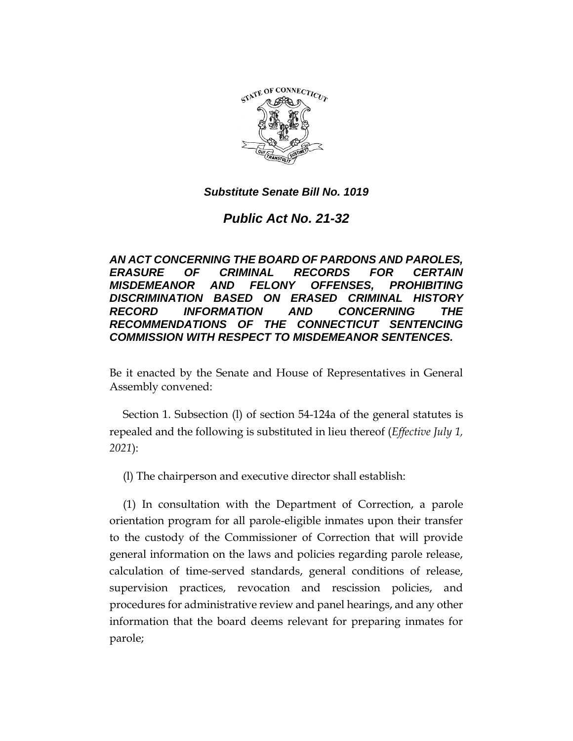

*Public Act No. 21-32*

*AN ACT CONCERNING THE BOARD OF PARDONS AND PAROLES, ERASURE OF CRIMINAL RECORDS FOR CERTAIN MISDEMEANOR AND FELONY OFFENSES, PROHIBITING DISCRIMINATION BASED ON ERASED CRIMINAL HISTORY RECORD INFORMATION AND CONCERNING THE RECOMMENDATIONS OF THE CONNECTICUT SENTENCING COMMISSION WITH RESPECT TO MISDEMEANOR SENTENCES.*

Be it enacted by the Senate and House of Representatives in General Assembly convened:

Section 1. Subsection (l) of section 54-124a of the general statutes is repealed and the following is substituted in lieu thereof (*Effective July 1, 2021*):

(l) The chairperson and executive director shall establish:

(1) In consultation with the Department of Correction, a parole orientation program for all parole-eligible inmates upon their transfer to the custody of the Commissioner of Correction that will provide general information on the laws and policies regarding parole release, calculation of time-served standards, general conditions of release, supervision practices, revocation and rescission policies, and procedures for administrative review and panel hearings, and any other information that the board deems relevant for preparing inmates for parole;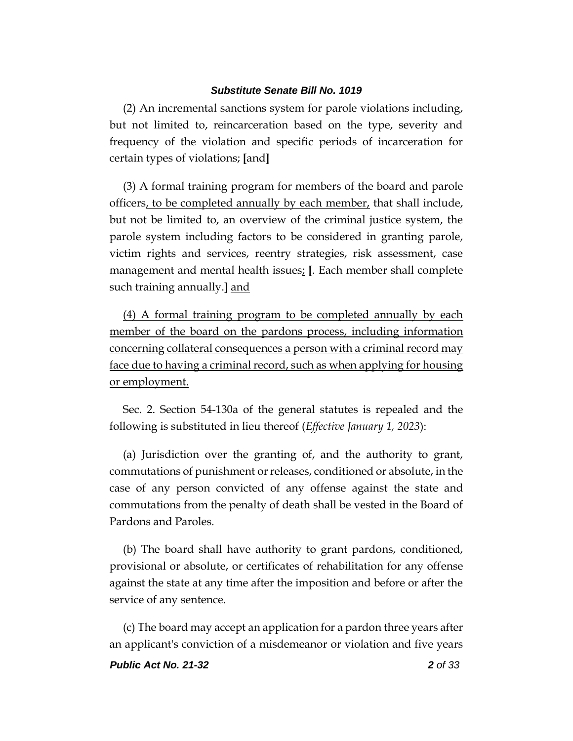(2) An incremental sanctions system for parole violations including, but not limited to, reincarceration based on the type, severity and frequency of the violation and specific periods of incarceration for certain types of violations; **[**and**]**

(3) A formal training program for members of the board and parole officers, to be completed annually by each member, that shall include, but not be limited to, an overview of the criminal justice system, the parole system including factors to be considered in granting parole, victim rights and services, reentry strategies, risk assessment, case management and mental health issues; **[**. Each member shall complete such training annually.**]** and

(4) A formal training program to be completed annually by each member of the board on the pardons process, including information concerning collateral consequences a person with a criminal record may face due to having a criminal record, such as when applying for housing or employment.

Sec. 2. Section 54-130a of the general statutes is repealed and the following is substituted in lieu thereof (*Effective January 1, 2023*):

(a) Jurisdiction over the granting of, and the authority to grant, commutations of punishment or releases, conditioned or absolute, in the case of any person convicted of any offense against the state and commutations from the penalty of death shall be vested in the Board of Pardons and Paroles.

(b) The board shall have authority to grant pardons, conditioned, provisional or absolute, or certificates of rehabilitation for any offense against the state at any time after the imposition and before or after the service of any sentence.

(c) The board may accept an application for a pardon three years after an applicant's conviction of a misdemeanor or violation and five years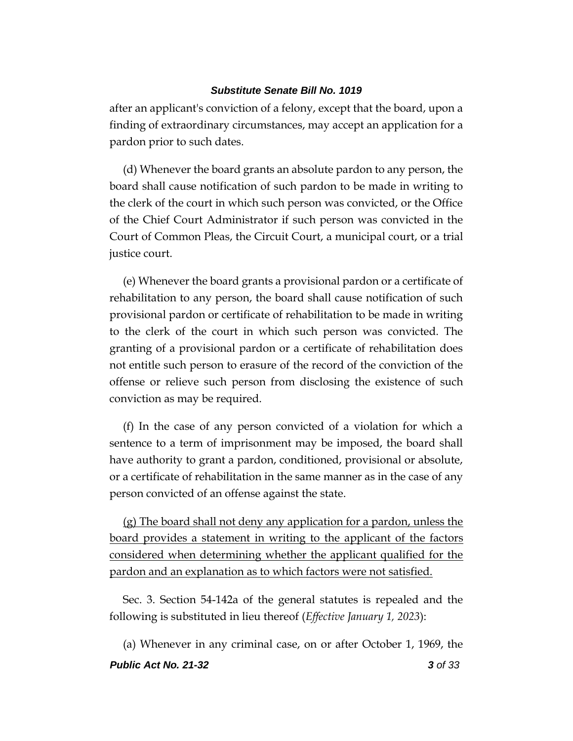after an applicant's conviction of a felony, except that the board, upon a finding of extraordinary circumstances, may accept an application for a pardon prior to such dates.

(d) Whenever the board grants an absolute pardon to any person, the board shall cause notification of such pardon to be made in writing to the clerk of the court in which such person was convicted, or the Office of the Chief Court Administrator if such person was convicted in the Court of Common Pleas, the Circuit Court, a municipal court, or a trial justice court.

(e) Whenever the board grants a provisional pardon or a certificate of rehabilitation to any person, the board shall cause notification of such provisional pardon or certificate of rehabilitation to be made in writing to the clerk of the court in which such person was convicted. The granting of a provisional pardon or a certificate of rehabilitation does not entitle such person to erasure of the record of the conviction of the offense or relieve such person from disclosing the existence of such conviction as may be required.

(f) In the case of any person convicted of a violation for which a sentence to a term of imprisonment may be imposed, the board shall have authority to grant a pardon, conditioned, provisional or absolute, or a certificate of rehabilitation in the same manner as in the case of any person convicted of an offense against the state.

(g) The board shall not deny any application for a pardon, unless the board provides a statement in writing to the applicant of the factors considered when determining whether the applicant qualified for the pardon and an explanation as to which factors were not satisfied.

Sec. 3. Section 54-142a of the general statutes is repealed and the following is substituted in lieu thereof (*Effective January 1, 2023*):

*Public Act No. 21-32 3 of 33* (a) Whenever in any criminal case, on or after October 1, 1969, the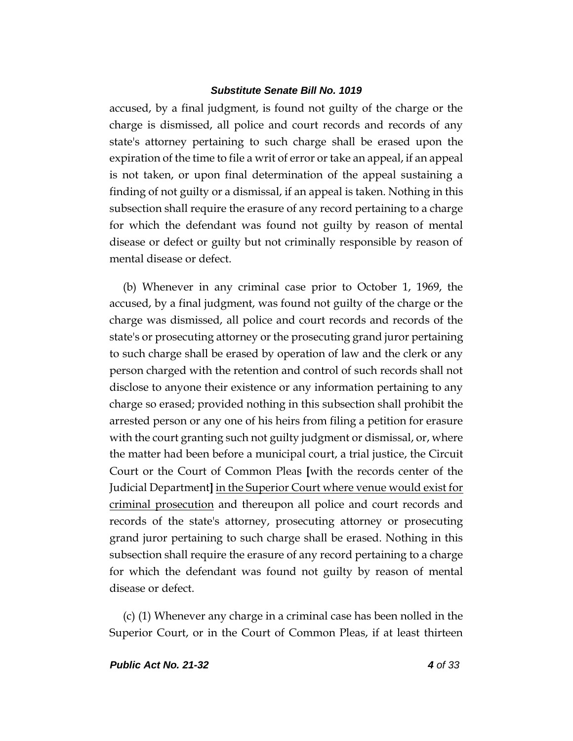accused, by a final judgment, is found not guilty of the charge or the charge is dismissed, all police and court records and records of any state's attorney pertaining to such charge shall be erased upon the expiration of the time to file a writ of error or take an appeal, if an appeal is not taken, or upon final determination of the appeal sustaining a finding of not guilty or a dismissal, if an appeal is taken. Nothing in this subsection shall require the erasure of any record pertaining to a charge for which the defendant was found not guilty by reason of mental disease or defect or guilty but not criminally responsible by reason of mental disease or defect.

(b) Whenever in any criminal case prior to October 1, 1969, the accused, by a final judgment, was found not guilty of the charge or the charge was dismissed, all police and court records and records of the state's or prosecuting attorney or the prosecuting grand juror pertaining to such charge shall be erased by operation of law and the clerk or any person charged with the retention and control of such records shall not disclose to anyone their existence or any information pertaining to any charge so erased; provided nothing in this subsection shall prohibit the arrested person or any one of his heirs from filing a petition for erasure with the court granting such not guilty judgment or dismissal, or, where the matter had been before a municipal court, a trial justice, the Circuit Court or the Court of Common Pleas **[**with the records center of the Judicial Department**]** in the Superior Court where venue would exist for criminal prosecution and thereupon all police and court records and records of the state's attorney, prosecuting attorney or prosecuting grand juror pertaining to such charge shall be erased. Nothing in this subsection shall require the erasure of any record pertaining to a charge for which the defendant was found not guilty by reason of mental disease or defect.

(c) (1) Whenever any charge in a criminal case has been nolled in the Superior Court, or in the Court of Common Pleas, if at least thirteen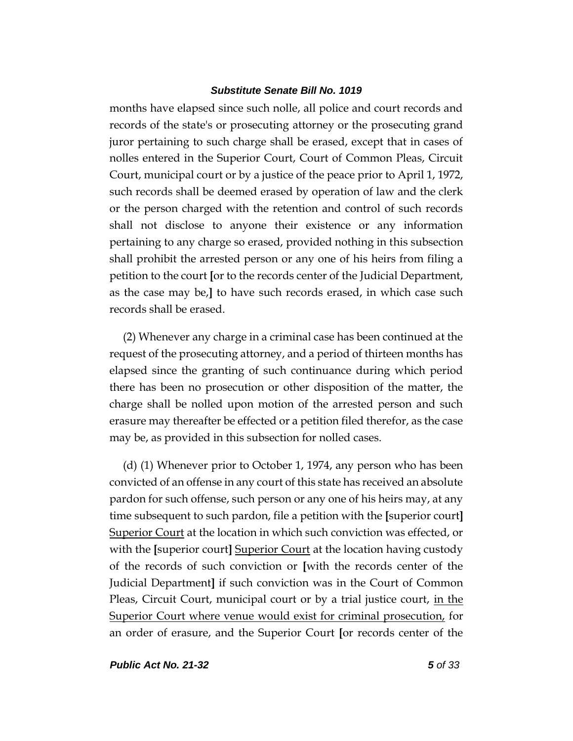months have elapsed since such nolle, all police and court records and records of the state's or prosecuting attorney or the prosecuting grand juror pertaining to such charge shall be erased, except that in cases of nolles entered in the Superior Court, Court of Common Pleas, Circuit Court, municipal court or by a justice of the peace prior to April 1, 1972, such records shall be deemed erased by operation of law and the clerk or the person charged with the retention and control of such records shall not disclose to anyone their existence or any information pertaining to any charge so erased, provided nothing in this subsection shall prohibit the arrested person or any one of his heirs from filing a petition to the court **[**or to the records center of the Judicial Department, as the case may be,**]** to have such records erased, in which case such records shall be erased.

(2) Whenever any charge in a criminal case has been continued at the request of the prosecuting attorney, and a period of thirteen months has elapsed since the granting of such continuance during which period there has been no prosecution or other disposition of the matter, the charge shall be nolled upon motion of the arrested person and such erasure may thereafter be effected or a petition filed therefor, as the case may be, as provided in this subsection for nolled cases.

(d) (1) Whenever prior to October 1, 1974, any person who has been convicted of an offense in any court of this state has received an absolute pardon for such offense, such person or any one of his heirs may, at any time subsequent to such pardon, file a petition with the **[**superior court**]** Superior Court at the location in which such conviction was effected, or with the **[**superior court**]** Superior Court at the location having custody of the records of such conviction or **[**with the records center of the Judicial Department**]** if such conviction was in the Court of Common Pleas, Circuit Court, municipal court or by a trial justice court, <u>in the</u> Superior Court where venue would exist for criminal prosecution, for an order of erasure, and the Superior Court **[**or records center of the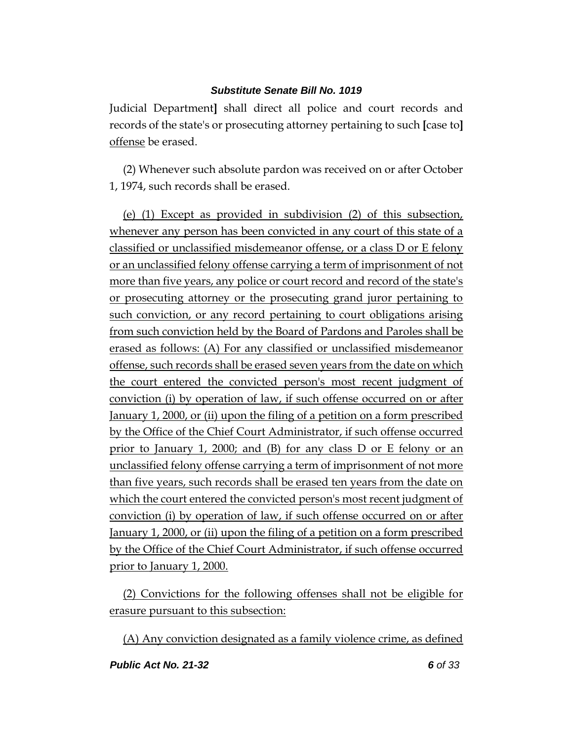Judicial Department**]** shall direct all police and court records and records of the state's or prosecuting attorney pertaining to such **[**case to**]** offense be erased.

(2) Whenever such absolute pardon was received on or after October 1, 1974, such records shall be erased.

(e) (1) Except as provided in subdivision (2) of this subsection, whenever any person has been convicted in any court of this state of a classified or unclassified misdemeanor offense, or a class D or E felony or an unclassified felony offense carrying a term of imprisonment of not more than five years, any police or court record and record of the state's or prosecuting attorney or the prosecuting grand juror pertaining to such conviction, or any record pertaining to court obligations arising from such conviction held by the Board of Pardons and Paroles shall be erased as follows: (A) For any classified or unclassified misdemeanor offense, such records shall be erased seven years from the date on which the court entered the convicted person's most recent judgment of conviction (i) by operation of law, if such offense occurred on or after January 1, 2000, or (ii) upon the filing of a petition on a form prescribed by the Office of the Chief Court Administrator, if such offense occurred prior to January 1, 2000; and (B) for any class D or E felony or an unclassified felony offense carrying a term of imprisonment of not more than five years, such records shall be erased ten years from the date on which the court entered the convicted person's most recent judgment of conviction (i) by operation of law, if such offense occurred on or after January 1, 2000, or (ii) upon the filing of a petition on a form prescribed by the Office of the Chief Court Administrator, if such offense occurred prior to January 1, 2000.

(2) Convictions for the following offenses shall not be eligible for erasure pursuant to this subsection:

(A) Any conviction designated as a family violence crime, as defined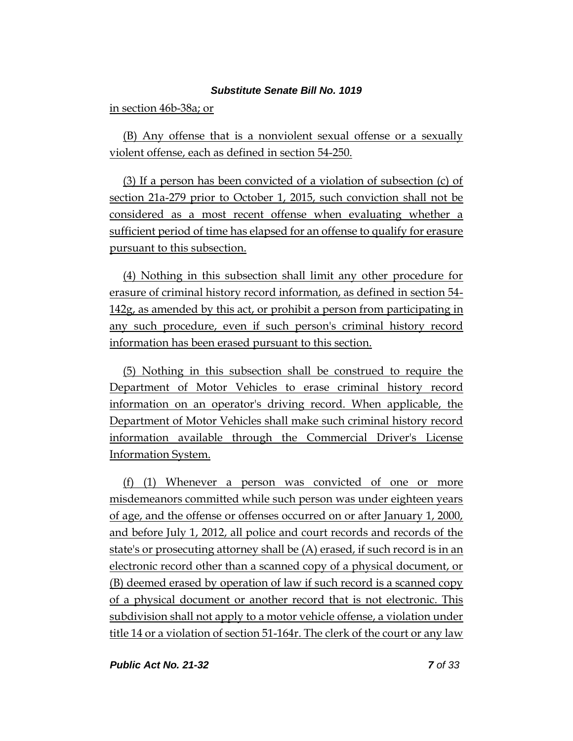in section 46b-38a; or

(B) Any offense that is a nonviolent sexual offense or a sexually violent offense, each as defined in section 54-250.

(3) If a person has been convicted of a violation of subsection (c) of section 21a-279 prior to October 1, 2015, such conviction shall not be considered as a most recent offense when evaluating whether a sufficient period of time has elapsed for an offense to qualify for erasure pursuant to this subsection.

(4) Nothing in this subsection shall limit any other procedure for erasure of criminal history record information, as defined in section 54- 142g, as amended by this act, or prohibit a person from participating in any such procedure, even if such person's criminal history record information has been erased pursuant to this section.

(5) Nothing in this subsection shall be construed to require the Department of Motor Vehicles to erase criminal history record information on an operator's driving record. When applicable, the Department of Motor Vehicles shall make such criminal history record information available through the Commercial Driver's License Information System.

(f) (1) Whenever a person was convicted of one or more misdemeanors committed while such person was under eighteen years of age, and the offense or offenses occurred on or after January 1, 2000, and before July 1, 2012, all police and court records and records of the state's or prosecuting attorney shall be (A) erased, if such record is in an electronic record other than a scanned copy of a physical document, or (B) deemed erased by operation of law if such record is a scanned copy of a physical document or another record that is not electronic. This subdivision shall not apply to a motor vehicle offense, a violation under title 14 or a violation of section 51-164r. The clerk of the court or any law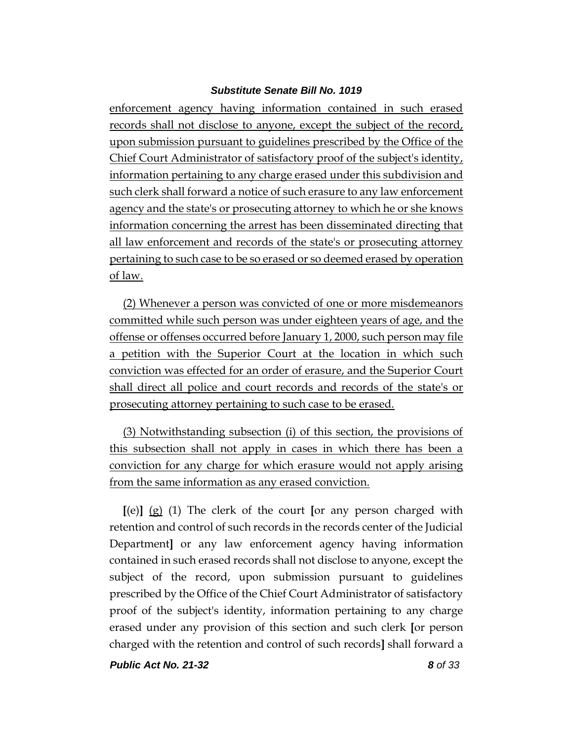enforcement agency having information contained in such erased records shall not disclose to anyone, except the subject of the record, upon submission pursuant to guidelines prescribed by the Office of the Chief Court Administrator of satisfactory proof of the subject's identity, information pertaining to any charge erased under this subdivision and such clerk shall forward a notice of such erasure to any law enforcement agency and the state's or prosecuting attorney to which he or she knows information concerning the arrest has been disseminated directing that all law enforcement and records of the state's or prosecuting attorney pertaining to such case to be so erased or so deemed erased by operation of law.

(2) Whenever a person was convicted of one or more misdemeanors committed while such person was under eighteen years of age, and the offense or offenses occurred before January 1, 2000, such person may file a petition with the Superior Court at the location in which such conviction was effected for an order of erasure, and the Superior Court shall direct all police and court records and records of the state's or prosecuting attorney pertaining to such case to be erased.

(3) Notwithstanding subsection (i) of this section, the provisions of this subsection shall not apply in cases in which there has been a conviction for any charge for which erasure would not apply arising from the same information as any erased conviction.

**[**(e)**]** (g) (1) The clerk of the court **[**or any person charged with retention and control of such records in the records center of the Judicial Department**]** or any law enforcement agency having information contained in such erased records shall not disclose to anyone, except the subject of the record, upon submission pursuant to guidelines prescribed by the Office of the Chief Court Administrator of satisfactory proof of the subject's identity, information pertaining to any charge erased under any provision of this section and such clerk **[**or person charged with the retention and control of such records**]** shall forward a

*Public Act No. 21-32 8 of 33*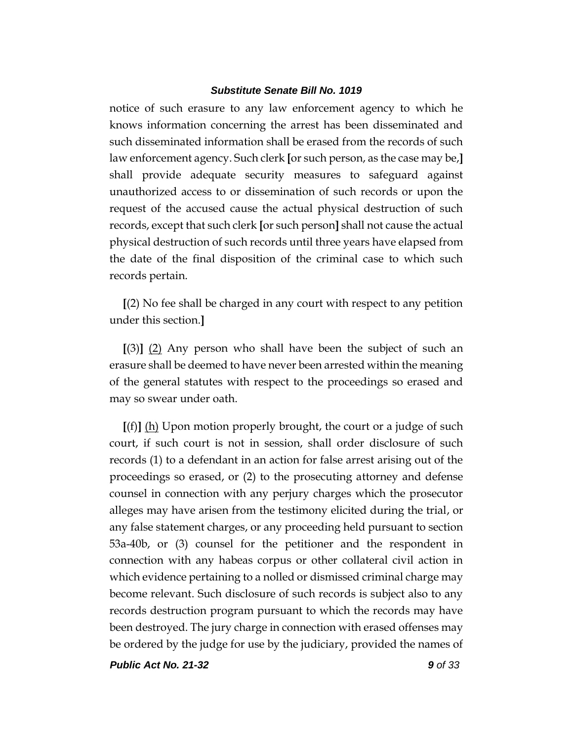notice of such erasure to any law enforcement agency to which he knows information concerning the arrest has been disseminated and such disseminated information shall be erased from the records of such law enforcement agency. Such clerk **[**or such person, as the case may be,**]** shall provide adequate security measures to safeguard against unauthorized access to or dissemination of such records or upon the request of the accused cause the actual physical destruction of such records, except that such clerk **[**or such person**]** shall not cause the actual physical destruction of such records until three years have elapsed from the date of the final disposition of the criminal case to which such records pertain.

**[**(2) No fee shall be charged in any court with respect to any petition under this section.**]**

**[**(3)**]** (2) Any person who shall have been the subject of such an erasure shall be deemed to have never been arrested within the meaning of the general statutes with respect to the proceedings so erased and may so swear under oath.

**[**(f)**]** (h) Upon motion properly brought, the court or a judge of such court, if such court is not in session, shall order disclosure of such records (1) to a defendant in an action for false arrest arising out of the proceedings so erased, or (2) to the prosecuting attorney and defense counsel in connection with any perjury charges which the prosecutor alleges may have arisen from the testimony elicited during the trial, or any false statement charges, or any proceeding held pursuant to section 53a-40b, or (3) counsel for the petitioner and the respondent in connection with any habeas corpus or other collateral civil action in which evidence pertaining to a nolled or dismissed criminal charge may become relevant. Such disclosure of such records is subject also to any records destruction program pursuant to which the records may have been destroyed. The jury charge in connection with erased offenses may be ordered by the judge for use by the judiciary, provided the names of

*Public Act No. 21-32 9 of 33*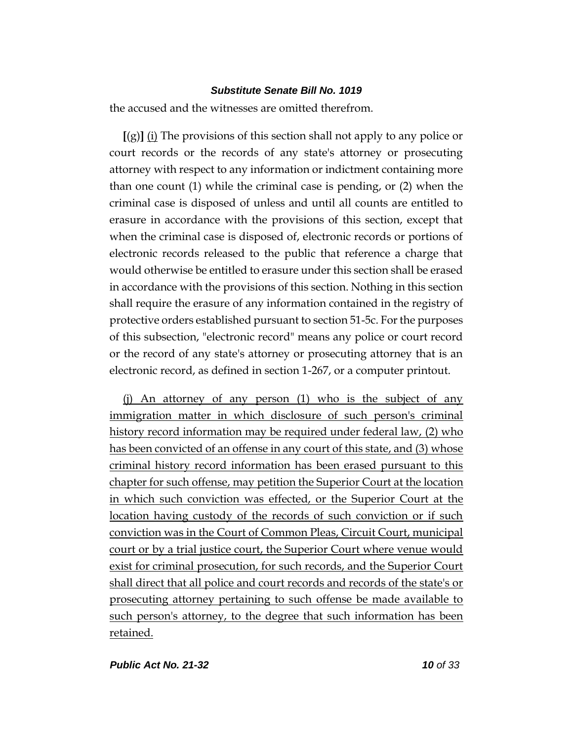the accused and the witnesses are omitted therefrom.

**[**(g)**]** (i) The provisions of this section shall not apply to any police or court records or the records of any state's attorney or prosecuting attorney with respect to any information or indictment containing more than one count (1) while the criminal case is pending, or (2) when the criminal case is disposed of unless and until all counts are entitled to erasure in accordance with the provisions of this section, except that when the criminal case is disposed of, electronic records or portions of electronic records released to the public that reference a charge that would otherwise be entitled to erasure under this section shall be erased in accordance with the provisions of this section. Nothing in this section shall require the erasure of any information contained in the registry of protective orders established pursuant to section 51-5c. For the purposes of this subsection, "electronic record" means any police or court record or the record of any state's attorney or prosecuting attorney that is an electronic record, as defined in section 1-267, or a computer printout.

(j) An attorney of any person (1) who is the subject of any immigration matter in which disclosure of such person's criminal history record information may be required under federal law, (2) who has been convicted of an offense in any court of this state, and (3) whose criminal history record information has been erased pursuant to this chapter for such offense, may petition the Superior Court at the location in which such conviction was effected, or the Superior Court at the location having custody of the records of such conviction or if such conviction was in the Court of Common Pleas, Circuit Court, municipal court or by a trial justice court, the Superior Court where venue would exist for criminal prosecution, for such records, and the Superior Court shall direct that all police and court records and records of the state's or prosecuting attorney pertaining to such offense be made available to such person's attorney, to the degree that such information has been retained.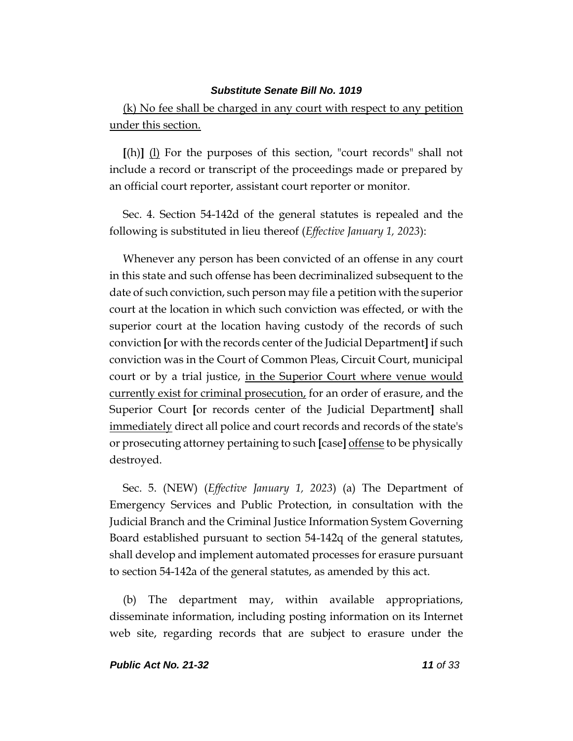(k) No fee shall be charged in any court with respect to any petition under this section.

**[**(h)**]** (l) For the purposes of this section, "court records" shall not include a record or transcript of the proceedings made or prepared by an official court reporter, assistant court reporter or monitor.

Sec. 4. Section 54-142d of the general statutes is repealed and the following is substituted in lieu thereof (*Effective January 1, 2023*):

Whenever any person has been convicted of an offense in any court in this state and such offense has been decriminalized subsequent to the date of such conviction, such person may file a petition with the superior court at the location in which such conviction was effected, or with the superior court at the location having custody of the records of such conviction **[**or with the records center of the Judicial Department**]** if such conviction was in the Court of Common Pleas, Circuit Court, municipal court or by a trial justice, in the Superior Court where venue would currently exist for criminal prosecution, for an order of erasure, and the Superior Court **[**or records center of the Judicial Department**]** shall immediately direct all police and court records and records of the state's or prosecuting attorney pertaining to such **[**case**]** offense to be physically destroyed.

Sec. 5. (NEW) (*Effective January 1, 2023*) (a) The Department of Emergency Services and Public Protection, in consultation with the Judicial Branch and the Criminal Justice Information System Governing Board established pursuant to section 54-142q of the general statutes, shall develop and implement automated processes for erasure pursuant to section 54-142a of the general statutes, as amended by this act.

(b) The department may, within available appropriations, disseminate information, including posting information on its Internet web site, regarding records that are subject to erasure under the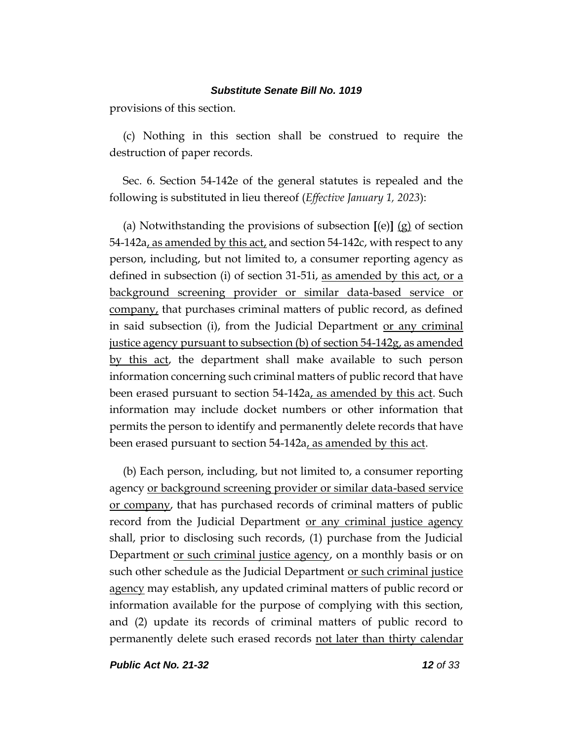provisions of this section.

(c) Nothing in this section shall be construed to require the destruction of paper records.

Sec. 6. Section 54-142e of the general statutes is repealed and the following is substituted in lieu thereof (*Effective January 1, 2023*):

(a) Notwithstanding the provisions of subsection **[**(e)**]** (g) of section 54-142a, as amended by this act, and section 54-142c, with respect to any person, including, but not limited to, a consumer reporting agency as defined in subsection (i) of section 31-51i, as amended by this act, or a background screening provider or similar data-based service or company, that purchases criminal matters of public record, as defined in said subsection (i), from the Judicial Department or any criminal justice agency pursuant to subsection (b) of section 54-142g, as amended by this act, the department shall make available to such person information concerning such criminal matters of public record that have been erased pursuant to section 54-142a, as amended by this act. Such information may include docket numbers or other information that permits the person to identify and permanently delete records that have been erased pursuant to section 54-142a, as amended by this act.

(b) Each person, including, but not limited to, a consumer reporting agency or background screening provider or similar data-based service or company, that has purchased records of criminal matters of public record from the Judicial Department or any criminal justice agency shall, prior to disclosing such records, (1) purchase from the Judicial Department or such criminal justice agency, on a monthly basis or on such other schedule as the Judicial Department or such criminal justice agency may establish, any updated criminal matters of public record or information available for the purpose of complying with this section, and (2) update its records of criminal matters of public record to permanently delete such erased records not later than thirty calendar

*Public Act No. 21-32 12 of 33*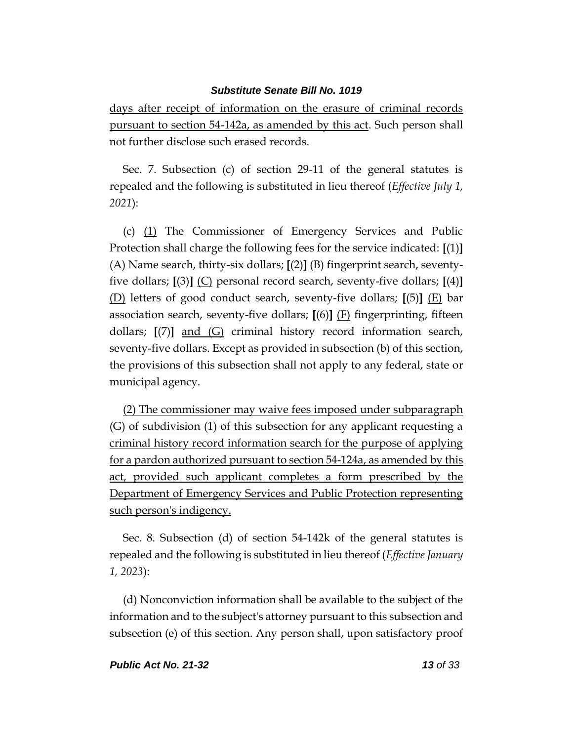days after receipt of information on the erasure of criminal records pursuant to section 54-142a, as amended by this act. Such person shall not further disclose such erased records.

Sec. 7. Subsection (c) of section 29-11 of the general statutes is repealed and the following is substituted in lieu thereof (*Effective July 1, 2021*):

(c) (1) The Commissioner of Emergency Services and Public Protection shall charge the following fees for the service indicated: **[**(1)**]** (A) Name search, thirty-six dollars; **[**(2)**]** (B) fingerprint search, seventyfive dollars; **[**(3)**]** (C) personal record search, seventy-five dollars; **[**(4)**]** (D) letters of good conduct search, seventy-five dollars; **[**(5)**]** (E) bar association search, seventy-five dollars; **[**(6)**]** (F) fingerprinting, fifteen dollars; **[**(7)**]** and (G) criminal history record information search, seventy-five dollars. Except as provided in subsection (b) of this section, the provisions of this subsection shall not apply to any federal, state or municipal agency.

(2) The commissioner may waive fees imposed under subparagraph (G) of subdivision (1) of this subsection for any applicant requesting a criminal history record information search for the purpose of applying for a pardon authorized pursuant to section 54-124a, as amended by this act, provided such applicant completes a form prescribed by the Department of Emergency Services and Public Protection representing such person's indigency.

Sec. 8. Subsection (d) of section 54-142k of the general statutes is repealed and the following is substituted in lieu thereof (*Effective January 1, 2023*):

(d) Nonconviction information shall be available to the subject of the information and to the subject's attorney pursuant to this subsection and subsection (e) of this section. Any person shall, upon satisfactory proof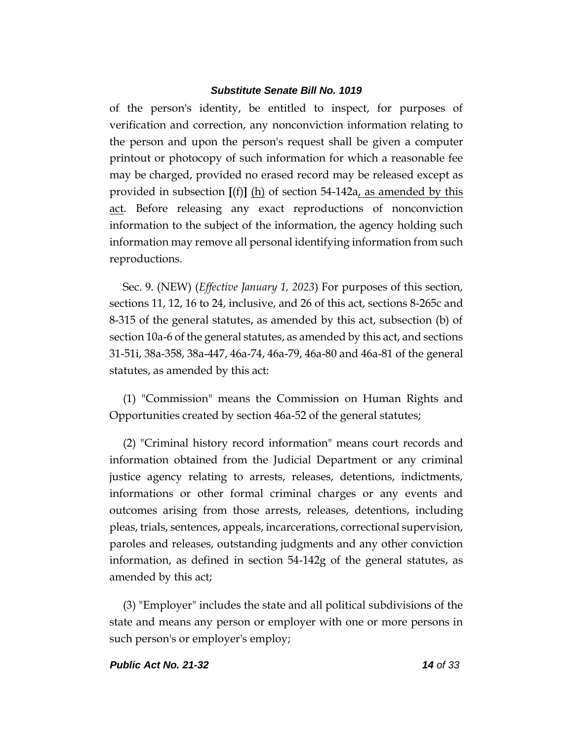of the person's identity, be entitled to inspect, for purposes of verification and correction, any nonconviction information relating to the person and upon the person's request shall be given a computer printout or photocopy of such information for which a reasonable fee may be charged, provided no erased record may be released except as provided in subsection **[**(f)**]** (h) of section 54-142a, as amended by this act. Before releasing any exact reproductions of nonconviction information to the subject of the information, the agency holding such information may remove all personal identifying information from such reproductions.

Sec. 9. (NEW) (*Effective January 1, 2023*) For purposes of this section, sections 11, 12, 16 to 24, inclusive, and 26 of this act, sections 8-265c and 8-315 of the general statutes, as amended by this act, subsection (b) of section 10a-6 of the general statutes, as amended by this act, and sections 31-51i, 38a-358, 38a-447, 46a-74, 46a-79, 46a-80 and 46a-81 of the general statutes, as amended by this act:

(1) "Commission" means the Commission on Human Rights and Opportunities created by section 46a-52 of the general statutes;

(2) "Criminal history record information" means court records and information obtained from the Judicial Department or any criminal justice agency relating to arrests, releases, detentions, indictments, informations or other formal criminal charges or any events and outcomes arising from those arrests, releases, detentions, including pleas, trials, sentences, appeals, incarcerations, correctional supervision, paroles and releases, outstanding judgments and any other conviction information, as defined in section 54-142g of the general statutes, as amended by this act;

(3) "Employer" includes the state and all political subdivisions of the state and means any person or employer with one or more persons in such person's or employer's employ;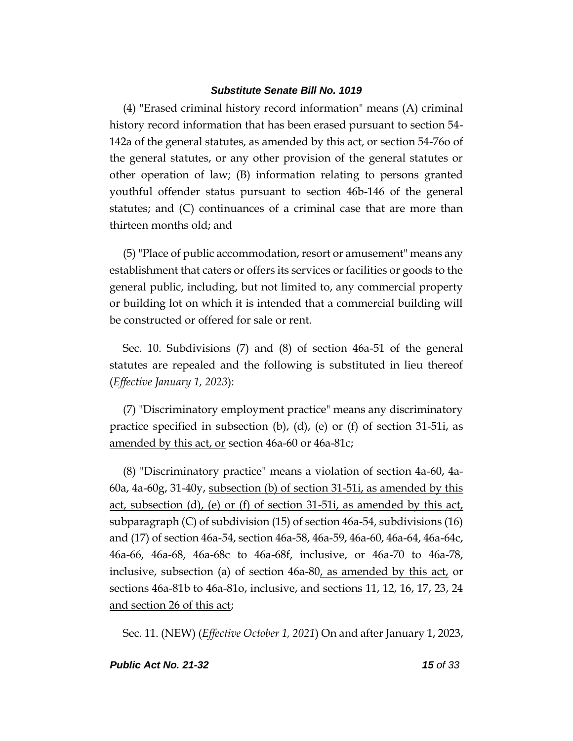(4) "Erased criminal history record information" means (A) criminal history record information that has been erased pursuant to section 54- 142a of the general statutes, as amended by this act, or section 54-76o of the general statutes, or any other provision of the general statutes or other operation of law; (B) information relating to persons granted youthful offender status pursuant to section 46b-146 of the general statutes; and (C) continuances of a criminal case that are more than thirteen months old; and

(5) "Place of public accommodation, resort or amusement" means any establishment that caters or offers its services or facilities or goods to the general public, including, but not limited to, any commercial property or building lot on which it is intended that a commercial building will be constructed or offered for sale or rent.

Sec. 10. Subdivisions (7) and (8) of section 46a-51 of the general statutes are repealed and the following is substituted in lieu thereof (*Effective January 1, 2023*):

(7) "Discriminatory employment practice" means any discriminatory practice specified in subsection (b), (d), (e) or (f) of section 31-51i, as amended by this act, or section 46a-60 or 46a-81c;

(8) "Discriminatory practice" means a violation of section 4a-60, 4a-60a, 4a-60g, 31-40y, subsection (b) of section 31-51i, as amended by this act, subsection (d), (e) or (f) of section 31-51i, as amended by this act, subparagraph (C) of subdivision (15) of section 46a-54, subdivisions (16) and (17) of section 46a-54, section 46a-58, 46a-59, 46a-60, 46a-64, 46a-64c, 46a-66, 46a-68, 46a-68c to 46a-68f, inclusive, or 46a-70 to 46a-78, inclusive, subsection (a) of section 46a-80, as amended by this act, or sections 46a-81b to 46a-81o, inclusive, and sections 11, 12, 16, 17, 23, 24 and section 26 of this act;

Sec. 11. (NEW) (*Effective October 1, 2021*) On and after January 1, 2023,

#### *Public Act No. 21-32 15 of 33*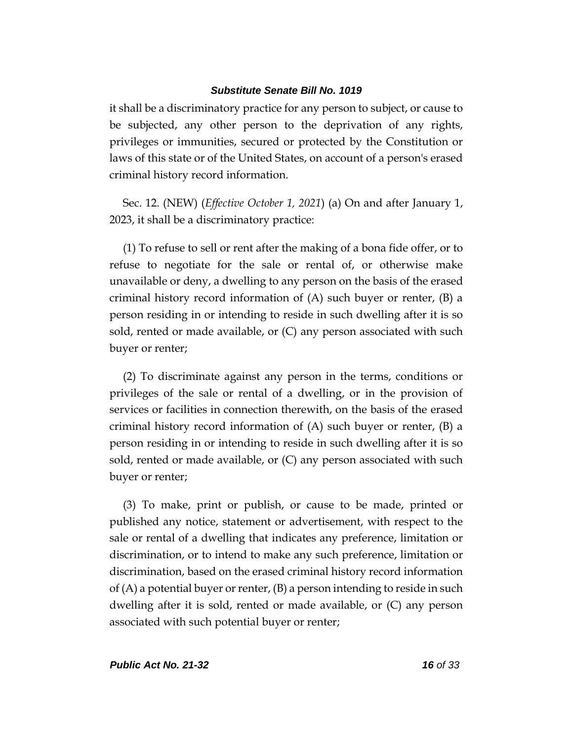it shall be a discriminatory practice for any person to subject, or cause to be subjected, any other person to the deprivation of any rights, privileges or immunities, secured or protected by the Constitution or laws of this state or of the United States, on account of a person's erased criminal history record information.

Sec. 12. (NEW) (*Effective October 1, 2021*) (a) On and after January 1, 2023, it shall be a discriminatory practice:

(1) To refuse to sell or rent after the making of a bona fide offer, or to refuse to negotiate for the sale or rental of, or otherwise make unavailable or deny, a dwelling to any person on the basis of the erased criminal history record information of (A) such buyer or renter, (B) a person residing in or intending to reside in such dwelling after it is so sold, rented or made available, or (C) any person associated with such buyer or renter;

(2) To discriminate against any person in the terms, conditions or privileges of the sale or rental of a dwelling, or in the provision of services or facilities in connection therewith, on the basis of the erased criminal history record information of (A) such buyer or renter, (B) a person residing in or intending to reside in such dwelling after it is so sold, rented or made available, or (C) any person associated with such buyer or renter;

(3) To make, print or publish, or cause to be made, printed or published any notice, statement or advertisement, with respect to the sale or rental of a dwelling that indicates any preference, limitation or discrimination, or to intend to make any such preference, limitation or discrimination, based on the erased criminal history record information of  $(A)$  a potential buyer or renter,  $(B)$  a person intending to reside in such dwelling after it is sold, rented or made available, or (C) any person associated with such potential buyer or renter;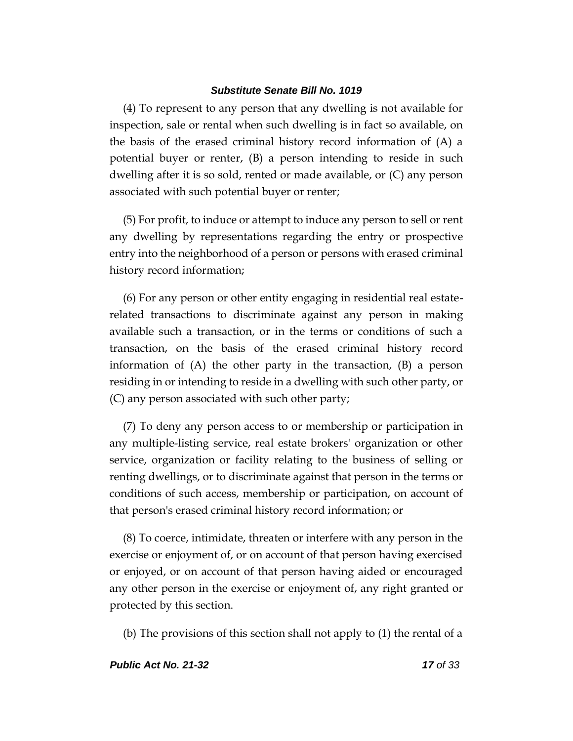(4) To represent to any person that any dwelling is not available for inspection, sale or rental when such dwelling is in fact so available, on the basis of the erased criminal history record information of (A) a potential buyer or renter, (B) a person intending to reside in such dwelling after it is so sold, rented or made available, or (C) any person associated with such potential buyer or renter;

(5) For profit, to induce or attempt to induce any person to sell or rent any dwelling by representations regarding the entry or prospective entry into the neighborhood of a person or persons with erased criminal history record information;

(6) For any person or other entity engaging in residential real estaterelated transactions to discriminate against any person in making available such a transaction, or in the terms or conditions of such a transaction, on the basis of the erased criminal history record information of (A) the other party in the transaction, (B) a person residing in or intending to reside in a dwelling with such other party, or (C) any person associated with such other party;

(7) To deny any person access to or membership or participation in any multiple-listing service, real estate brokers' organization or other service, organization or facility relating to the business of selling or renting dwellings, or to discriminate against that person in the terms or conditions of such access, membership or participation, on account of that person's erased criminal history record information; or

(8) To coerce, intimidate, threaten or interfere with any person in the exercise or enjoyment of, or on account of that person having exercised or enjoyed, or on account of that person having aided or encouraged any other person in the exercise or enjoyment of, any right granted or protected by this section.

(b) The provisions of this section shall not apply to (1) the rental of a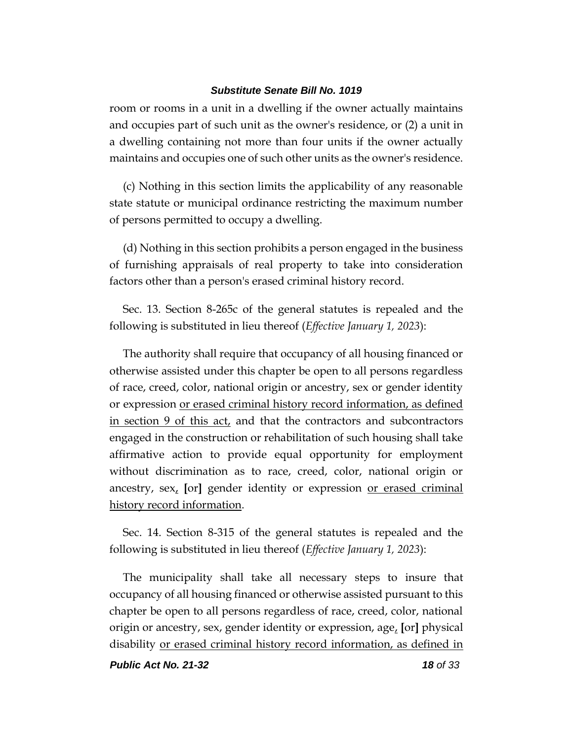room or rooms in a unit in a dwelling if the owner actually maintains and occupies part of such unit as the owner's residence, or (2) a unit in a dwelling containing not more than four units if the owner actually maintains and occupies one of such other units as the owner's residence.

(c) Nothing in this section limits the applicability of any reasonable state statute or municipal ordinance restricting the maximum number of persons permitted to occupy a dwelling.

(d) Nothing in this section prohibits a person engaged in the business of furnishing appraisals of real property to take into consideration factors other than a person's erased criminal history record.

Sec. 13. Section 8-265c of the general statutes is repealed and the following is substituted in lieu thereof (*Effective January 1, 2023*):

The authority shall require that occupancy of all housing financed or otherwise assisted under this chapter be open to all persons regardless of race, creed, color, national origin or ancestry, sex or gender identity or expression or erased criminal history record information, as defined in section 9 of this act, and that the contractors and subcontractors engaged in the construction or rehabilitation of such housing shall take affirmative action to provide equal opportunity for employment without discrimination as to race, creed, color, national origin or ancestry, sex, **[**or**]** gender identity or expression or erased criminal history record information.

Sec. 14. Section 8-315 of the general statutes is repealed and the following is substituted in lieu thereof (*Effective January 1, 2023*):

The municipality shall take all necessary steps to insure that occupancy of all housing financed or otherwise assisted pursuant to this chapter be open to all persons regardless of race, creed, color, national origin or ancestry, sex, gender identity or expression, age, **[**or**]** physical disability or erased criminal history record information, as defined in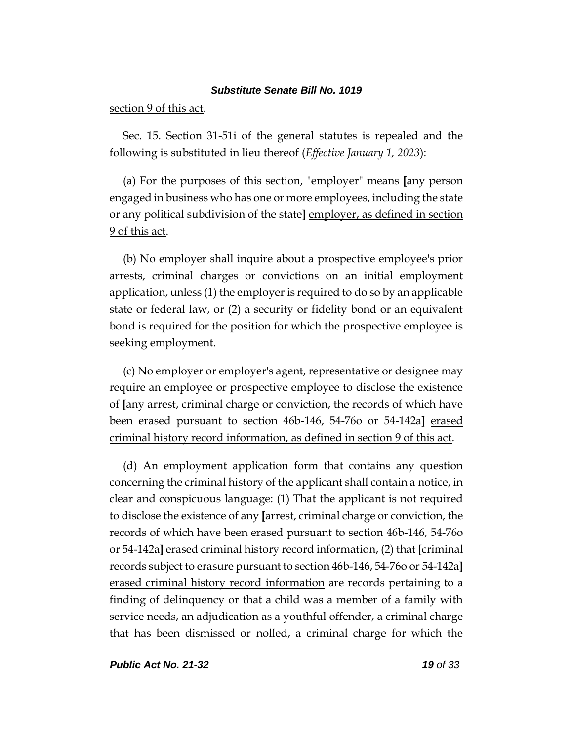### section 9 of this act.

Sec. 15. Section 31-51i of the general statutes is repealed and the following is substituted in lieu thereof (*Effective January 1, 2023*):

(a) For the purposes of this section, "employer" means **[**any person engaged in business who has one or more employees, including the state or any political subdivision of the state**]** employer, as defined in section 9 of this act.

(b) No employer shall inquire about a prospective employee's prior arrests, criminal charges or convictions on an initial employment application, unless (1) the employer is required to do so by an applicable state or federal law, or (2) a security or fidelity bond or an equivalent bond is required for the position for which the prospective employee is seeking employment.

(c) No employer or employer's agent, representative or designee may require an employee or prospective employee to disclose the existence of **[**any arrest, criminal charge or conviction, the records of which have been erased pursuant to section 46b-146, 54-76o or 54-142a**]** erased criminal history record information, as defined in section 9 of this act.

(d) An employment application form that contains any question concerning the criminal history of the applicant shall contain a notice, in clear and conspicuous language: (1) That the applicant is not required to disclose the existence of any **[**arrest, criminal charge or conviction, the records of which have been erased pursuant to section 46b-146, 54-76o or 54-142a**]** erased criminal history record information, (2) that **[**criminal records subject to erasure pursuant to section 46b-146, 54-76o or 54-142a**]** erased criminal history record information are records pertaining to a finding of delinquency or that a child was a member of a family with service needs, an adjudication as a youthful offender, a criminal charge that has been dismissed or nolled, a criminal charge for which the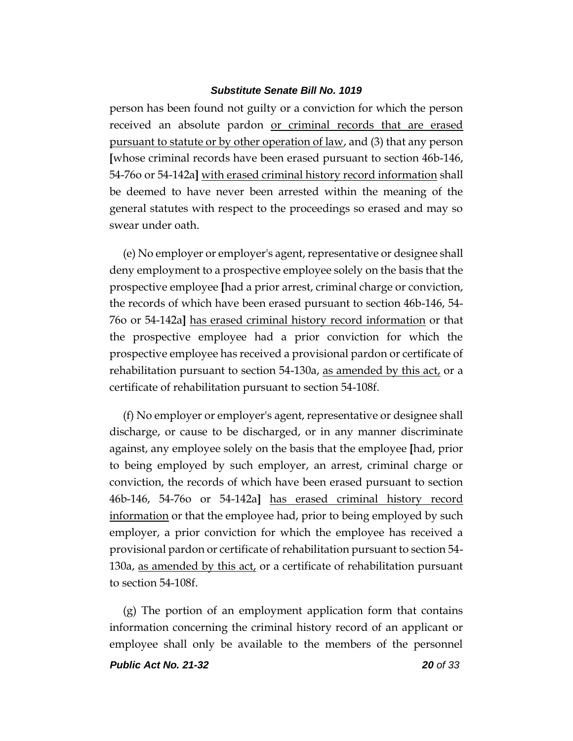person has been found not guilty or a conviction for which the person received an absolute pardon or criminal records that are erased pursuant to statute or by other operation of law, and (3) that any person **[**whose criminal records have been erased pursuant to section 46b-146, 54-76o or 54-142a**]** with erased criminal history record information shall be deemed to have never been arrested within the meaning of the general statutes with respect to the proceedings so erased and may so swear under oath.

(e) No employer or employer's agent, representative or designee shall deny employment to a prospective employee solely on the basis that the prospective employee **[**had a prior arrest, criminal charge or conviction, the records of which have been erased pursuant to section 46b-146, 54- 76o or 54-142a**]** has erased criminal history record information or that the prospective employee had a prior conviction for which the prospective employee has received a provisional pardon or certificate of rehabilitation pursuant to section 54-130a, as amended by this act, or a certificate of rehabilitation pursuant to section 54-108f.

(f) No employer or employer's agent, representative or designee shall discharge, or cause to be discharged, or in any manner discriminate against, any employee solely on the basis that the employee **[**had, prior to being employed by such employer, an arrest, criminal charge or conviction, the records of which have been erased pursuant to section 46b-146, 54-76o or 54-142a**]** has erased criminal history record information or that the employee had, prior to being employed by such employer, a prior conviction for which the employee has received a provisional pardon or certificate of rehabilitation pursuant to section 54- 130a, as amended by this act, or a certificate of rehabilitation pursuant to section 54-108f.

(g) The portion of an employment application form that contains information concerning the criminal history record of an applicant or employee shall only be available to the members of the personnel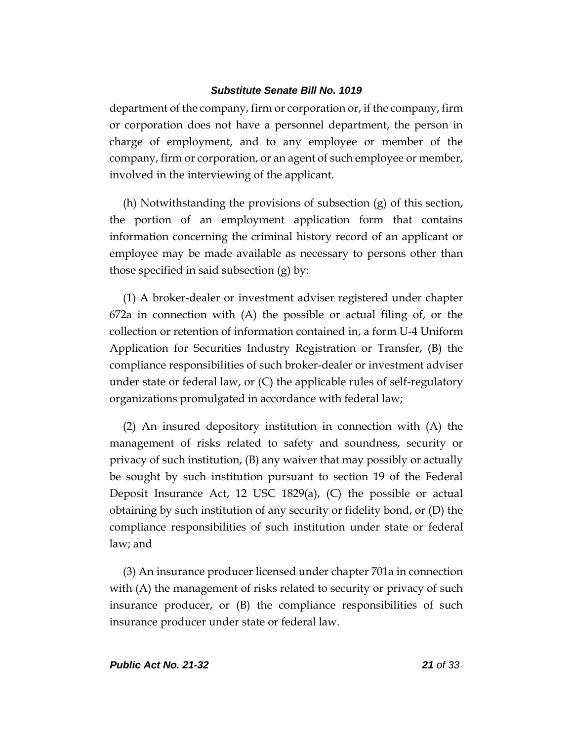department of the company, firm or corporation or, if the company, firm or corporation does not have a personnel department, the person in charge of employment, and to any employee or member of the company, firm or corporation, or an agent of such employee or member, involved in the interviewing of the applicant.

(h) Notwithstanding the provisions of subsection (g) of this section, the portion of an employment application form that contains information concerning the criminal history record of an applicant or employee may be made available as necessary to persons other than those specified in said subsection (g) by:

(1) A broker-dealer or investment adviser registered under chapter 672a in connection with (A) the possible or actual filing of, or the collection or retention of information contained in, a form U-4 Uniform Application for Securities Industry Registration or Transfer, (B) the compliance responsibilities of such broker-dealer or investment adviser under state or federal law, or  $(C)$  the applicable rules of self-regulatory organizations promulgated in accordance with federal law;

(2) An insured depository institution in connection with (A) the management of risks related to safety and soundness, security or privacy of such institution, (B) any waiver that may possibly or actually be sought by such institution pursuant to section 19 of the Federal Deposit Insurance Act, 12 USC 1829(a), (C) the possible or actual obtaining by such institution of any security or fidelity bond, or (D) the compliance responsibilities of such institution under state or federal law; and

(3) An insurance producer licensed under chapter 701a in connection with (A) the management of risks related to security or privacy of such insurance producer, or (B) the compliance responsibilities of such insurance producer under state or federal law.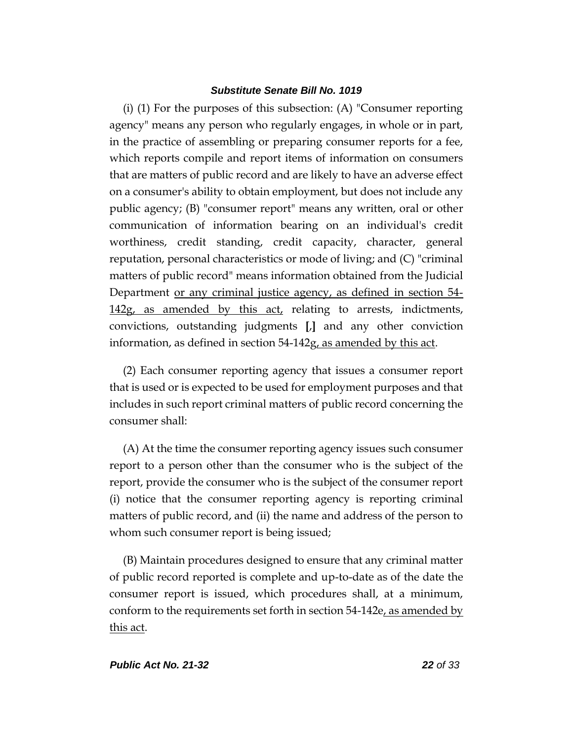(i) (1) For the purposes of this subsection: (A) "Consumer reporting agency" means any person who regularly engages, in whole or in part, in the practice of assembling or preparing consumer reports for a fee, which reports compile and report items of information on consumers that are matters of public record and are likely to have an adverse effect on a consumer's ability to obtain employment, but does not include any public agency; (B) "consumer report" means any written, oral or other communication of information bearing on an individual's credit worthiness, credit standing, credit capacity, character, general reputation, personal characteristics or mode of living; and (C) "criminal matters of public record" means information obtained from the Judicial Department or any criminal justice agency, as defined in section 54- 142g, as amended by this act, relating to arrests, indictments, convictions, outstanding judgments **[**,**]** and any other conviction information, as defined in section 54-142g, as amended by this act.

(2) Each consumer reporting agency that issues a consumer report that is used or is expected to be used for employment purposes and that includes in such report criminal matters of public record concerning the consumer shall:

(A) At the time the consumer reporting agency issues such consumer report to a person other than the consumer who is the subject of the report, provide the consumer who is the subject of the consumer report (i) notice that the consumer reporting agency is reporting criminal matters of public record, and (ii) the name and address of the person to whom such consumer report is being issued;

(B) Maintain procedures designed to ensure that any criminal matter of public record reported is complete and up-to-date as of the date the consumer report is issued, which procedures shall, at a minimum, conform to the requirements set forth in section 54-142e, as amended by this act.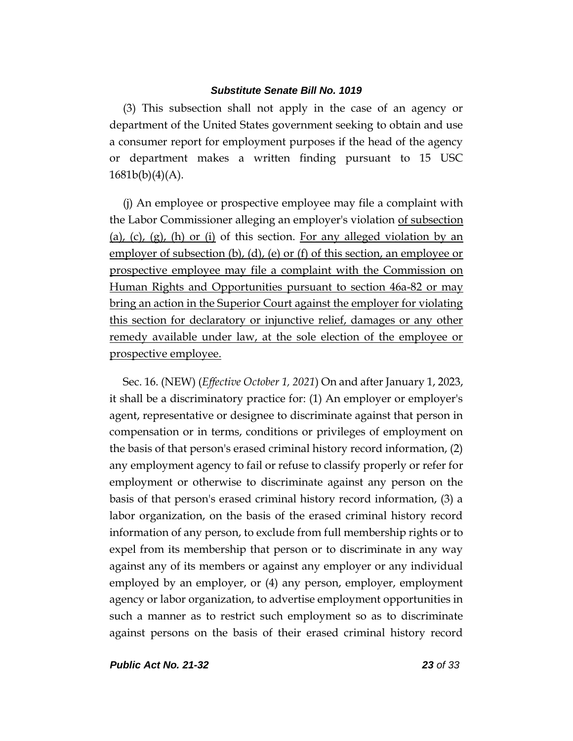(3) This subsection shall not apply in the case of an agency or department of the United States government seeking to obtain and use a consumer report for employment purposes if the head of the agency or department makes a written finding pursuant to 15 USC  $1681b(b)(4)(A)$ .

(j) An employee or prospective employee may file a complaint with the Labor Commissioner alleging an employer's violation of subsection (a), (c), (g), (h) or (i) of this section. For any alleged violation by an employer of subsection (b), (d), (e) or (f) of this section, an employee or prospective employee may file a complaint with the Commission on Human Rights and Opportunities pursuant to section 46a-82 or may bring an action in the Superior Court against the employer for violating this section for declaratory or injunctive relief, damages or any other remedy available under law, at the sole election of the employee or prospective employee.

Sec. 16. (NEW) (*Effective October 1, 2021*) On and after January 1, 2023, it shall be a discriminatory practice for: (1) An employer or employer's agent, representative or designee to discriminate against that person in compensation or in terms, conditions or privileges of employment on the basis of that person's erased criminal history record information, (2) any employment agency to fail or refuse to classify properly or refer for employment or otherwise to discriminate against any person on the basis of that person's erased criminal history record information, (3) a labor organization, on the basis of the erased criminal history record information of any person, to exclude from full membership rights or to expel from its membership that person or to discriminate in any way against any of its members or against any employer or any individual employed by an employer, or (4) any person, employer, employment agency or labor organization, to advertise employment opportunities in such a manner as to restrict such employment so as to discriminate against persons on the basis of their erased criminal history record

*Public Act No. 21-32 23 of 33*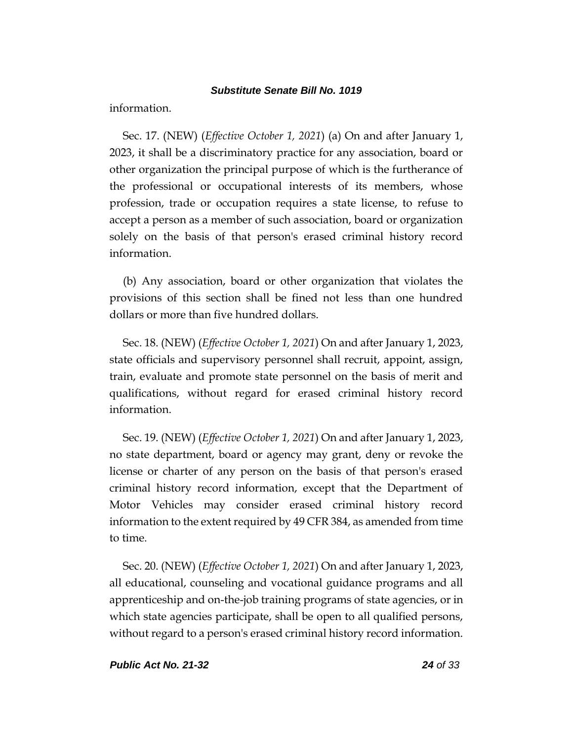information.

Sec. 17. (NEW) (*Effective October 1, 2021*) (a) On and after January 1, 2023, it shall be a discriminatory practice for any association, board or other organization the principal purpose of which is the furtherance of the professional or occupational interests of its members, whose profession, trade or occupation requires a state license, to refuse to accept a person as a member of such association, board or organization solely on the basis of that person's erased criminal history record information.

(b) Any association, board or other organization that violates the provisions of this section shall be fined not less than one hundred dollars or more than five hundred dollars.

Sec. 18. (NEW) (*Effective October 1, 2021*) On and after January 1, 2023, state officials and supervisory personnel shall recruit, appoint, assign, train, evaluate and promote state personnel on the basis of merit and qualifications, without regard for erased criminal history record information.

Sec. 19. (NEW) (*Effective October 1, 2021*) On and after January 1, 2023, no state department, board or agency may grant, deny or revoke the license or charter of any person on the basis of that person's erased criminal history record information, except that the Department of Motor Vehicles may consider erased criminal history record information to the extent required by 49 CFR 384, as amended from time to time.

Sec. 20. (NEW) (*Effective October 1, 2021*) On and after January 1, 2023, all educational, counseling and vocational guidance programs and all apprenticeship and on-the-job training programs of state agencies, or in which state agencies participate, shall be open to all qualified persons, without regard to a person's erased criminal history record information.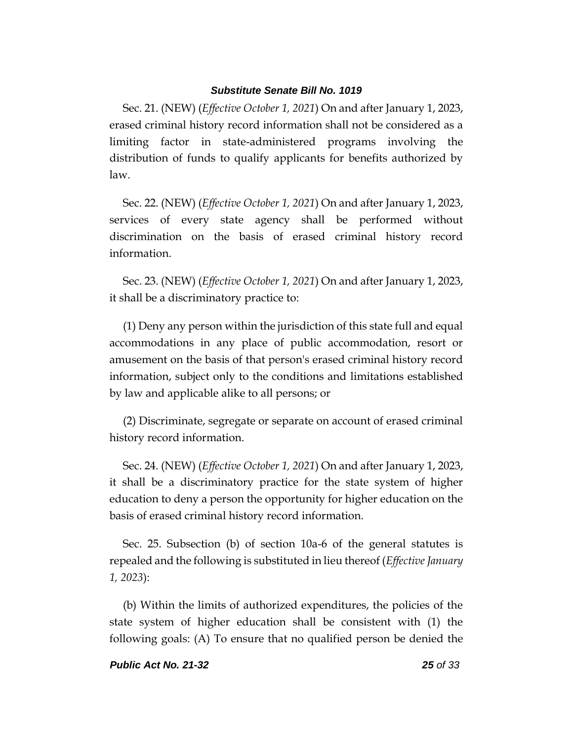Sec. 21. (NEW) (*Effective October 1, 2021*) On and after January 1, 2023, erased criminal history record information shall not be considered as a limiting factor in state-administered programs involving the distribution of funds to qualify applicants for benefits authorized by law.

Sec. 22. (NEW) (*Effective October 1, 2021*) On and after January 1, 2023, services of every state agency shall be performed without discrimination on the basis of erased criminal history record information.

Sec. 23. (NEW) (*Effective October 1, 2021*) On and after January 1, 2023, it shall be a discriminatory practice to:

(1) Deny any person within the jurisdiction of this state full and equal accommodations in any place of public accommodation, resort or amusement on the basis of that person's erased criminal history record information, subject only to the conditions and limitations established by law and applicable alike to all persons; or

(2) Discriminate, segregate or separate on account of erased criminal history record information.

Sec. 24. (NEW) (*Effective October 1, 2021*) On and after January 1, 2023, it shall be a discriminatory practice for the state system of higher education to deny a person the opportunity for higher education on the basis of erased criminal history record information.

Sec. 25. Subsection (b) of section 10a-6 of the general statutes is repealed and the following is substituted in lieu thereof (*Effective January 1, 2023*):

(b) Within the limits of authorized expenditures, the policies of the state system of higher education shall be consistent with (1) the following goals: (A) To ensure that no qualified person be denied the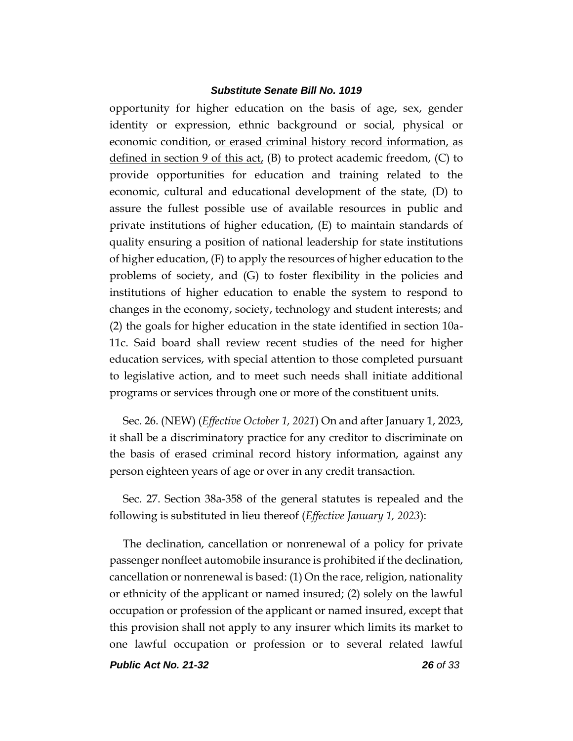opportunity for higher education on the basis of age, sex, gender identity or expression, ethnic background or social, physical or economic condition, or erased criminal history record information, as defined in section 9 of this act,  $(B)$  to protect academic freedom,  $(C)$  to provide opportunities for education and training related to the economic, cultural and educational development of the state, (D) to assure the fullest possible use of available resources in public and private institutions of higher education, (E) to maintain standards of quality ensuring a position of national leadership for state institutions of higher education, (F) to apply the resources of higher education to the problems of society, and (G) to foster flexibility in the policies and institutions of higher education to enable the system to respond to changes in the economy, society, technology and student interests; and (2) the goals for higher education in the state identified in section 10a-11c. Said board shall review recent studies of the need for higher education services, with special attention to those completed pursuant to legislative action, and to meet such needs shall initiate additional programs or services through one or more of the constituent units.

Sec. 26. (NEW) (*Effective October 1, 2021*) On and after January 1, 2023, it shall be a discriminatory practice for any creditor to discriminate on the basis of erased criminal record history information, against any person eighteen years of age or over in any credit transaction.

Sec. 27. Section 38a-358 of the general statutes is repealed and the following is substituted in lieu thereof (*Effective January 1, 2023*):

The declination, cancellation or nonrenewal of a policy for private passenger nonfleet automobile insurance is prohibited if the declination, cancellation or nonrenewal is based: (1) On the race, religion, nationality or ethnicity of the applicant or named insured; (2) solely on the lawful occupation or profession of the applicant or named insured, except that this provision shall not apply to any insurer which limits its market to one lawful occupation or profession or to several related lawful

*Public Act No. 21-32 26 of 33*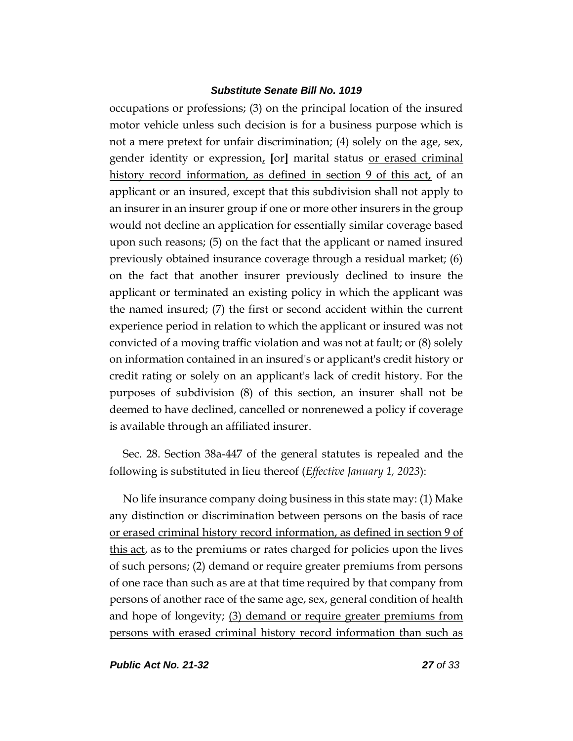occupations or professions; (3) on the principal location of the insured motor vehicle unless such decision is for a business purpose which is not a mere pretext for unfair discrimination; (4) solely on the age, sex, gender identity or expression, **[**or**]** marital status or erased criminal history record information, as defined in section 9 of this act, of an applicant or an insured, except that this subdivision shall not apply to an insurer in an insurer group if one or more other insurers in the group would not decline an application for essentially similar coverage based upon such reasons; (5) on the fact that the applicant or named insured previously obtained insurance coverage through a residual market; (6) on the fact that another insurer previously declined to insure the applicant or terminated an existing policy in which the applicant was the named insured; (7) the first or second accident within the current experience period in relation to which the applicant or insured was not convicted of a moving traffic violation and was not at fault; or (8) solely on information contained in an insured's or applicant's credit history or credit rating or solely on an applicant's lack of credit history. For the purposes of subdivision (8) of this section, an insurer shall not be deemed to have declined, cancelled or nonrenewed a policy if coverage is available through an affiliated insurer.

Sec. 28. Section 38a-447 of the general statutes is repealed and the following is substituted in lieu thereof (*Effective January 1, 2023*):

No life insurance company doing business in this state may: (1) Make any distinction or discrimination between persons on the basis of race or erased criminal history record information, as defined in section 9 of this act, as to the premiums or rates charged for policies upon the lives of such persons; (2) demand or require greater premiums from persons of one race than such as are at that time required by that company from persons of another race of the same age, sex, general condition of health and hope of longevity; (3) demand or require greater premiums from persons with erased criminal history record information than such as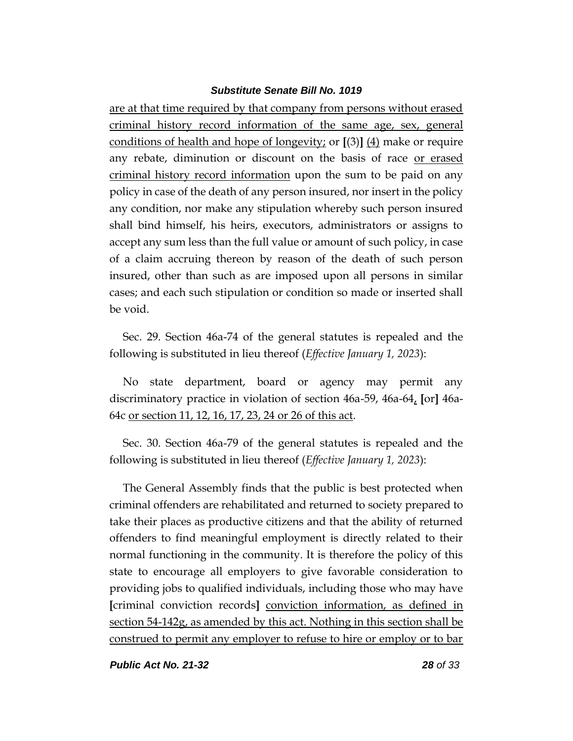are at that time required by that company from persons without erased criminal history record information of the same age, sex, general conditions of health and hope of longevity; or **[**(3)**]** (4) make or require any rebate, diminution or discount on the basis of race or erased criminal history record information upon the sum to be paid on any policy in case of the death of any person insured, nor insert in the policy any condition, nor make any stipulation whereby such person insured shall bind himself, his heirs, executors, administrators or assigns to accept any sum less than the full value or amount of such policy, in case of a claim accruing thereon by reason of the death of such person insured, other than such as are imposed upon all persons in similar cases; and each such stipulation or condition so made or inserted shall be void.

Sec. 29. Section 46a-74 of the general statutes is repealed and the following is substituted in lieu thereof (*Effective January 1, 2023*):

No state department, board or agency may permit any discriminatory practice in violation of section 46a-59, 46a-64, **[**or**]** 46a-64c or section 11, 12, 16, 17, 23, 24 or 26 of this act.

Sec. 30. Section 46a-79 of the general statutes is repealed and the following is substituted in lieu thereof (*Effective January 1, 2023*):

The General Assembly finds that the public is best protected when criminal offenders are rehabilitated and returned to society prepared to take their places as productive citizens and that the ability of returned offenders to find meaningful employment is directly related to their normal functioning in the community. It is therefore the policy of this state to encourage all employers to give favorable consideration to providing jobs to qualified individuals, including those who may have **[**criminal conviction records**]** conviction information, as defined in section 54-142g, as amended by this act. Nothing in this section shall be construed to permit any employer to refuse to hire or employ or to bar

*Public Act No. 21-32 28 of 33*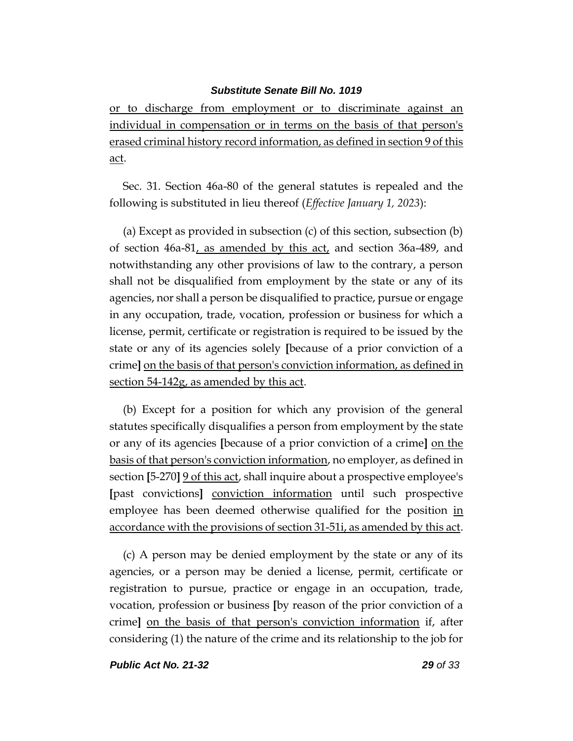or to discharge from employment or to discriminate against an individual in compensation or in terms on the basis of that person's erased criminal history record information, as defined in section 9 of this act.

Sec. 31. Section 46a-80 of the general statutes is repealed and the following is substituted in lieu thereof (*Effective January 1, 2023*):

(a) Except as provided in subsection (c) of this section, subsection (b) of section 46a-81, as amended by this act, and section 36a-489, and notwithstanding any other provisions of law to the contrary, a person shall not be disqualified from employment by the state or any of its agencies, nor shall a person be disqualified to practice, pursue or engage in any occupation, trade, vocation, profession or business for which a license, permit, certificate or registration is required to be issued by the state or any of its agencies solely **[**because of a prior conviction of a crime**]** on the basis of that person's conviction information, as defined in section 54-142g, as amended by this act.

(b) Except for a position for which any provision of the general statutes specifically disqualifies a person from employment by the state or any of its agencies **[**because of a prior conviction of a crime**]** on the basis of that person's conviction information, no employer, as defined in section **[**5-270**]** 9 of this act, shall inquire about a prospective employee's **[**past convictions**]** conviction information until such prospective employee has been deemed otherwise qualified for the position in accordance with the provisions of section 31-51i, as amended by this act.

(c) A person may be denied employment by the state or any of its agencies, or a person may be denied a license, permit, certificate or registration to pursue, practice or engage in an occupation, trade, vocation, profession or business **[**by reason of the prior conviction of a crime**]** on the basis of that person's conviction information if, after considering (1) the nature of the crime and its relationship to the job for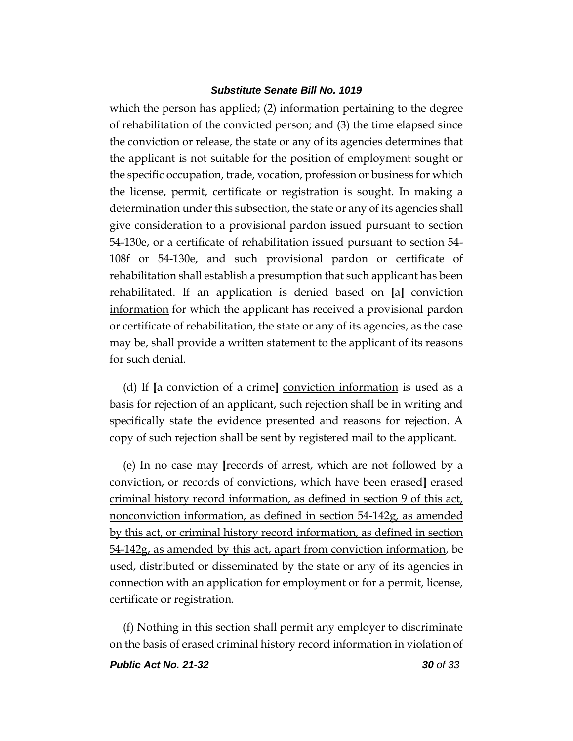which the person has applied; (2) information pertaining to the degree of rehabilitation of the convicted person; and (3) the time elapsed since the conviction or release, the state or any of its agencies determines that the applicant is not suitable for the position of employment sought or the specific occupation, trade, vocation, profession or business for which the license, permit, certificate or registration is sought. In making a determination under this subsection, the state or any of its agencies shall give consideration to a provisional pardon issued pursuant to section 54-130e, or a certificate of rehabilitation issued pursuant to section 54- 108f or 54-130e, and such provisional pardon or certificate of rehabilitation shall establish a presumption that such applicant has been rehabilitated. If an application is denied based on **[**a**]** conviction information for which the applicant has received a provisional pardon or certificate of rehabilitation, the state or any of its agencies, as the case may be, shall provide a written statement to the applicant of its reasons for such denial.

(d) If **[**a conviction of a crime**]** conviction information is used as a basis for rejection of an applicant, such rejection shall be in writing and specifically state the evidence presented and reasons for rejection. A copy of such rejection shall be sent by registered mail to the applicant.

(e) In no case may **[**records of arrest, which are not followed by a conviction, or records of convictions, which have been erased**]** erased criminal history record information, as defined in section 9 of this act, nonconviction information, as defined in section 54-142g, as amended by this act, or criminal history record information, as defined in section 54-142g, as amended by this act, apart from conviction information, be used, distributed or disseminated by the state or any of its agencies in connection with an application for employment or for a permit, license, certificate or registration.

(f) Nothing in this section shall permit any employer to discriminate on the basis of erased criminal history record information in violation of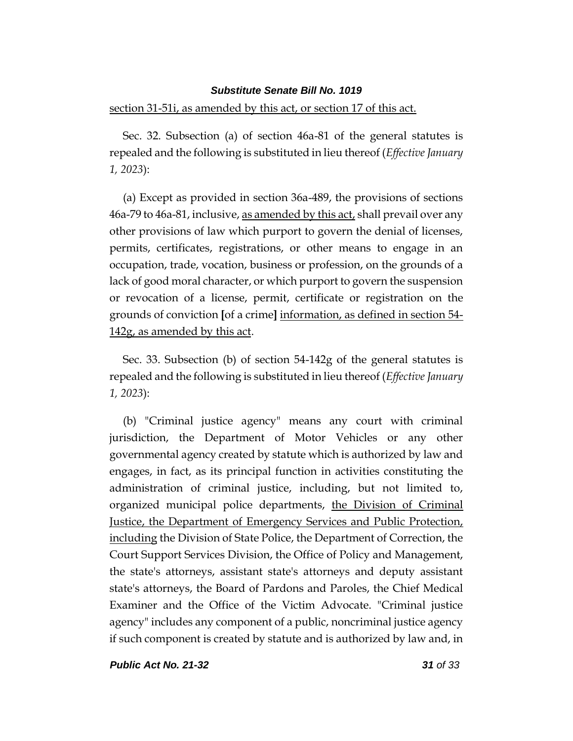#### section 31-51i, as amended by this act, or section 17 of this act.

Sec. 32. Subsection (a) of section 46a-81 of the general statutes is repealed and the following is substituted in lieu thereof (*Effective January 1, 2023*):

(a) Except as provided in section 36a-489, the provisions of sections 46a-79 to 46a-81, inclusive, as amended by this act, shall prevail over any other provisions of law which purport to govern the denial of licenses, permits, certificates, registrations, or other means to engage in an occupation, trade, vocation, business or profession, on the grounds of a lack of good moral character, or which purport to govern the suspension or revocation of a license, permit, certificate or registration on the grounds of conviction **[**of a crime**]** information, as defined in section 54- 142g, as amended by this act.

Sec. 33. Subsection (b) of section 54-142g of the general statutes is repealed and the following is substituted in lieu thereof (*Effective January 1, 2023*):

(b) "Criminal justice agency" means any court with criminal jurisdiction, the Department of Motor Vehicles or any other governmental agency created by statute which is authorized by law and engages, in fact, as its principal function in activities constituting the administration of criminal justice, including, but not limited to, organized municipal police departments, the Division of Criminal Justice, the Department of Emergency Services and Public Protection, including the Division of State Police, the Department of Correction, the Court Support Services Division, the Office of Policy and Management, the state's attorneys, assistant state's attorneys and deputy assistant state's attorneys, the Board of Pardons and Paroles, the Chief Medical Examiner and the Office of the Victim Advocate. "Criminal justice agency" includes any component of a public, noncriminal justice agency if such component is created by statute and is authorized by law and, in

*Public Act No. 21-32 31 of 33*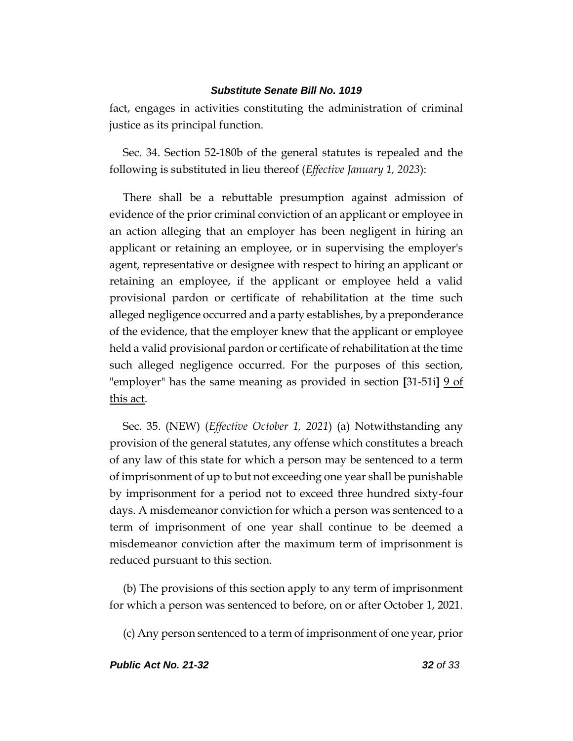fact, engages in activities constituting the administration of criminal justice as its principal function.

Sec. 34. Section 52-180b of the general statutes is repealed and the following is substituted in lieu thereof (*Effective January 1, 2023*):

There shall be a rebuttable presumption against admission of evidence of the prior criminal conviction of an applicant or employee in an action alleging that an employer has been negligent in hiring an applicant or retaining an employee, or in supervising the employer's agent, representative or designee with respect to hiring an applicant or retaining an employee, if the applicant or employee held a valid provisional pardon or certificate of rehabilitation at the time such alleged negligence occurred and a party establishes, by a preponderance of the evidence, that the employer knew that the applicant or employee held a valid provisional pardon or certificate of rehabilitation at the time such alleged negligence occurred. For the purposes of this section, "employer" has the same meaning as provided in section **[**31-51i**]** 9 of this act.

Sec. 35. (NEW) (*Effective October 1, 2021*) (a) Notwithstanding any provision of the general statutes, any offense which constitutes a breach of any law of this state for which a person may be sentenced to a term of imprisonment of up to but not exceeding one year shall be punishable by imprisonment for a period not to exceed three hundred sixty-four days. A misdemeanor conviction for which a person was sentenced to a term of imprisonment of one year shall continue to be deemed a misdemeanor conviction after the maximum term of imprisonment is reduced pursuant to this section.

(b) The provisions of this section apply to any term of imprisonment for which a person was sentenced to before, on or after October 1, 2021.

(c) Any person sentenced to a term of imprisonment of one year, prior